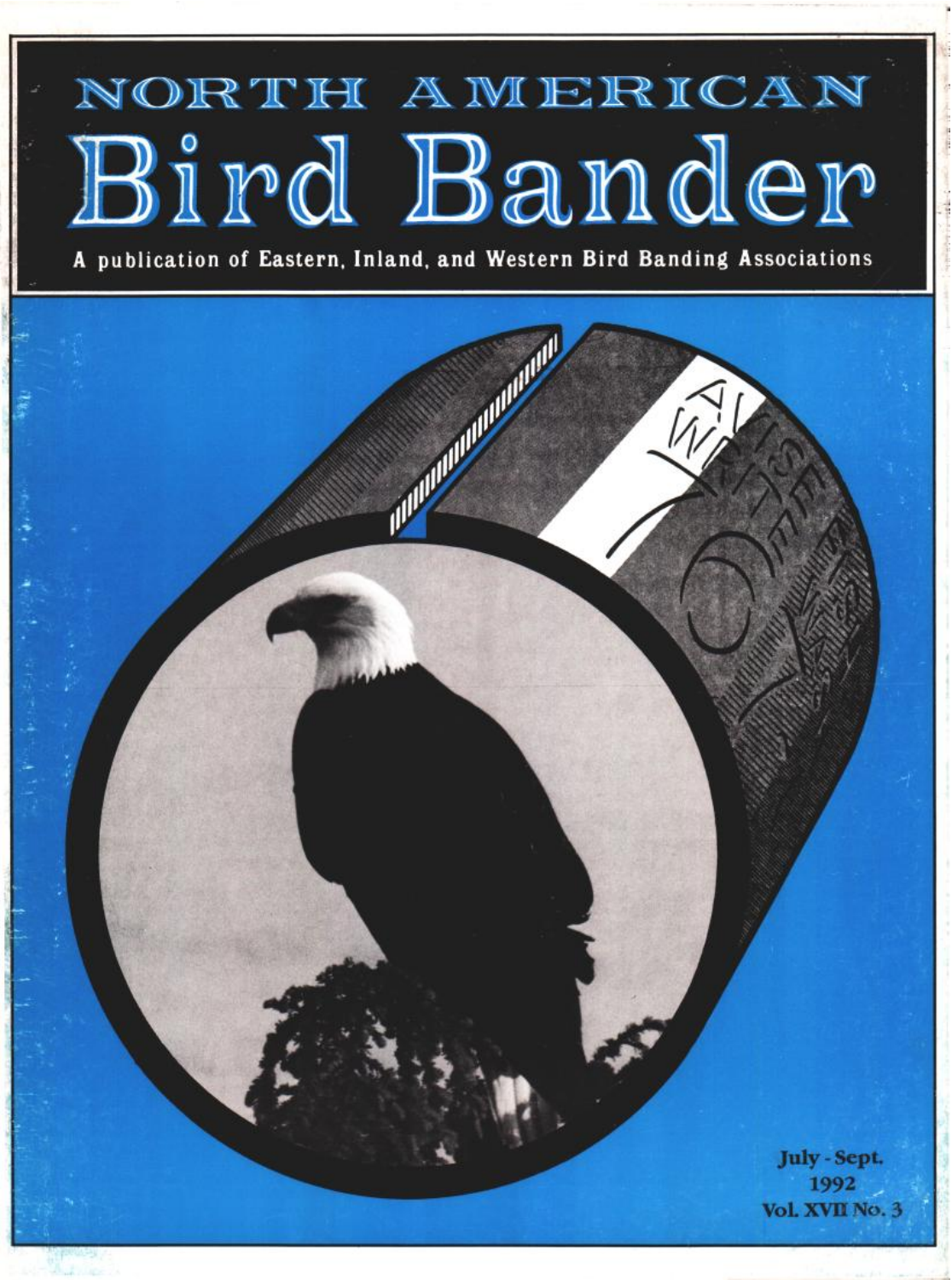# NORTH AMERICAN Bird Bander

**A publication of Eastern. Inland, and Western Bird Banding Associations** 

**CONTRACTOR July - Sept. 1992 VoL XVlI No. 3**